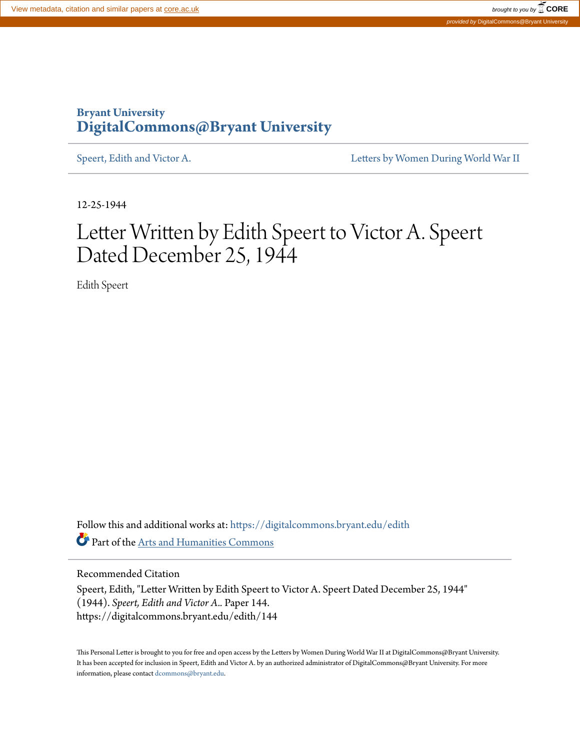## **Bryant University [DigitalCommons@Bryant University](https://digitalcommons.bryant.edu?utm_source=digitalcommons.bryant.edu%2Fedith%2F144&utm_medium=PDF&utm_campaign=PDFCoverPages)**

[Speert, Edith and Victor A.](https://digitalcommons.bryant.edu/edith?utm_source=digitalcommons.bryant.edu%2Fedith%2F144&utm_medium=PDF&utm_campaign=PDFCoverPages) The Speert, Edith and Victor A. The Speert of [Letters by Women During World War II](https://digitalcommons.bryant.edu/ww2civ?utm_source=digitalcommons.bryant.edu%2Fedith%2F144&utm_medium=PDF&utm_campaign=PDFCoverPages)

12-25-1944

## Letter Written by Edith Speert to Victor A. Speert Dated December 25, 1944

Edith Speert

Follow this and additional works at: [https://digitalcommons.bryant.edu/edith](https://digitalcommons.bryant.edu/edith?utm_source=digitalcommons.bryant.edu%2Fedith%2F144&utm_medium=PDF&utm_campaign=PDFCoverPages) Part of the [Arts and Humanities Commons](http://network.bepress.com/hgg/discipline/438?utm_source=digitalcommons.bryant.edu%2Fedith%2F144&utm_medium=PDF&utm_campaign=PDFCoverPages)

Recommended Citation

Speert, Edith, "Letter Written by Edith Speert to Victor A. Speert Dated December 25, 1944" (1944). *Speert, Edith and Victor A..* Paper 144. https://digitalcommons.bryant.edu/edith/144

This Personal Letter is brought to you for free and open access by the Letters by Women During World War II at DigitalCommons@Bryant University. It has been accepted for inclusion in Speert, Edith and Victor A. by an authorized administrator of DigitalCommons@Bryant University. For more information, please contact [dcommons@bryant.edu.](mailto:dcommons@bryant.edu)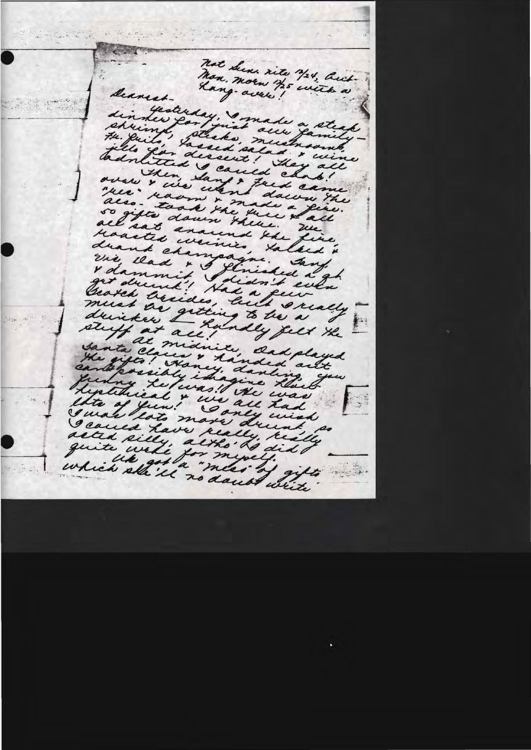not Sens site 3/24, buch Deanestdin Hesterday, made a steak pllo year dissent! They all badnlitted & cauld chat! over Isen Sang & Just came "rece" raom " made a que. also - took the there tall so gifte down there. We reaactes univer, talked " drank champagne. Jang. vie dans i Stringet 224 George assides, built excally must as getting to be a drinker Landey felt the al midnike, Oadplayed Janta Claus & handed alt quing returns! the was sixtenient & use all had Geoved have really, really seauca rave altho La did t